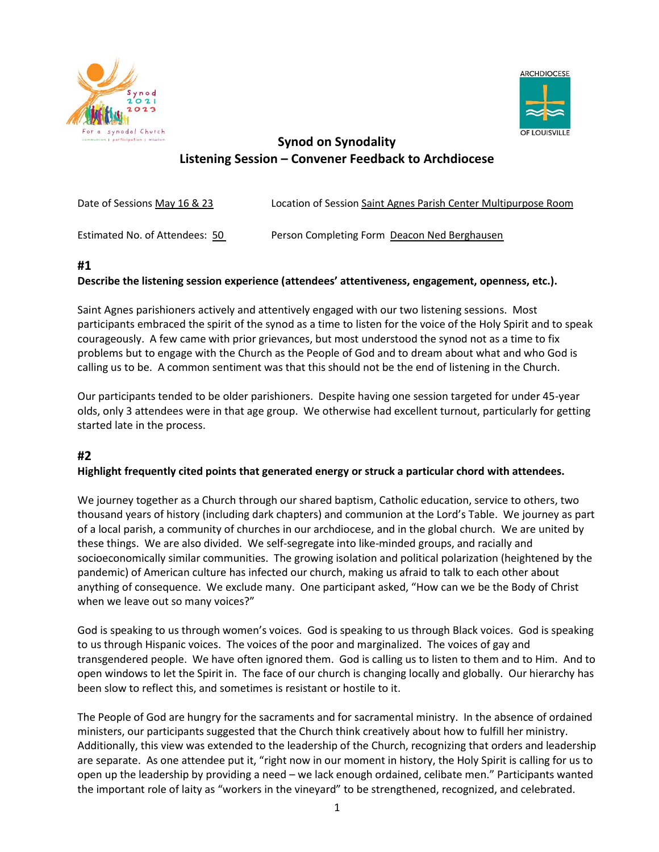



# **Synod on Synodality Listening Session – Convener Feedback to Archdiocese**

| Date of Sessions May 16 & 23   | Location of Session Saint Agnes Parish Center Multipurpose Room |
|--------------------------------|-----------------------------------------------------------------|
| Estimated No. of Attendees: 50 | Person Completing Form Deacon Ned Berghausen                    |

# **#1**

# **Describe the listening session experience (attendees' attentiveness, engagement, openness, etc.).**

Saint Agnes parishioners actively and attentively engaged with our two listening sessions. Most participants embraced the spirit of the synod as a time to listen for the voice of the Holy Spirit and to speak courageously. A few came with prior grievances, but most understood the synod not as a time to fix problems but to engage with the Church as the People of God and to dream about what and who God is calling us to be. A common sentiment was that this should not be the end of listening in the Church.

Our participants tended to be older parishioners. Despite having one session targeted for under 45-year olds, only 3 attendees were in that age group. We otherwise had excellent turnout, particularly for getting started late in the process.

# **#2**

# **Highlight frequently cited points that generated energy or struck a particular chord with attendees.**

We journey together as a Church through our shared baptism, Catholic education, service to others, two thousand years of history (including dark chapters) and communion at the Lord's Table. We journey as part of a local parish, a community of churches in our archdiocese, and in the global church. We are united by these things. We are also divided. We self-segregate into like-minded groups, and racially and socioeconomically similar communities. The growing isolation and political polarization (heightened by the pandemic) of American culture has infected our church, making us afraid to talk to each other about anything of consequence. We exclude many. One participant asked, "How can we be the Body of Christ when we leave out so many voices?"

God is speaking to us through women's voices. God is speaking to us through Black voices. God is speaking to us through Hispanic voices. The voices of the poor and marginalized. The voices of gay and transgendered people. We have often ignored them. God is calling us to listen to them and to Him. And to open windows to let the Spirit in. The face of our church is changing locally and globally. Our hierarchy has been slow to reflect this, and sometimes is resistant or hostile to it.

The People of God are hungry for the sacraments and for sacramental ministry. In the absence of ordained ministers, our participants suggested that the Church think creatively about how to fulfill her ministry. Additionally, this view was extended to the leadership of the Church, recognizing that orders and leadership are separate. As one attendee put it, "right now in our moment in history, the Holy Spirit is calling for us to open up the leadership by providing a need – we lack enough ordained, celibate men." Participants wanted the important role of laity as "workers in the vineyard" to be strengthened, recognized, and celebrated.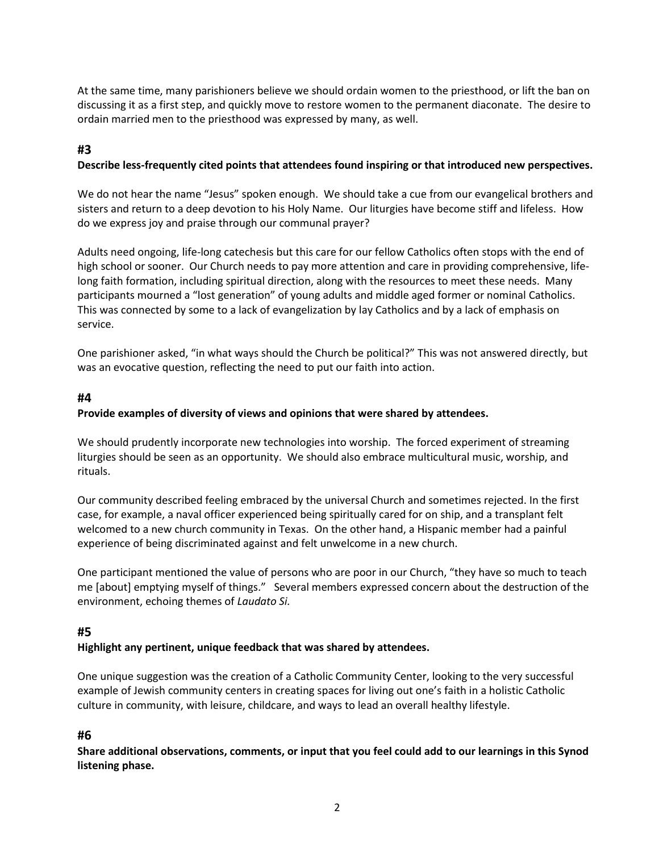At the same time, many parishioners believe we should ordain women to the priesthood, or lift the ban on discussing it as a first step, and quickly move to restore women to the permanent diaconate. The desire to ordain married men to the priesthood was expressed by many, as well.

# **#3**

#### **Describe less-frequently cited points that attendees found inspiring or that introduced new perspectives.**

We do not hear the name "Jesus" spoken enough. We should take a cue from our evangelical brothers and sisters and return to a deep devotion to his Holy Name. Our liturgies have become stiff and lifeless. How do we express joy and praise through our communal prayer?

Adults need ongoing, life-long catechesis but this care for our fellow Catholics often stops with the end of high school or sooner. Our Church needs to pay more attention and care in providing comprehensive, lifelong faith formation, including spiritual direction, along with the resources to meet these needs. Many participants mourned a "lost generation" of young adults and middle aged former or nominal Catholics. This was connected by some to a lack of evangelization by lay Catholics and by a lack of emphasis on service.

One parishioner asked, "in what ways should the Church be political?" This was not answered directly, but was an evocative question, reflecting the need to put our faith into action.

#### **#4**

#### **Provide examples of diversity of views and opinions that were shared by attendees.**

We should prudently incorporate new technologies into worship. The forced experiment of streaming liturgies should be seen as an opportunity. We should also embrace multicultural music, worship, and rituals.

Our community described feeling embraced by the universal Church and sometimes rejected. In the first case, for example, a naval officer experienced being spiritually cared for on ship, and a transplant felt welcomed to a new church community in Texas. On the other hand, a Hispanic member had a painful experience of being discriminated against and felt unwelcome in a new church.

One participant mentioned the value of persons who are poor in our Church, "they have so much to teach me [about] emptying myself of things." Several members expressed concern about the destruction of the environment, echoing themes of *Laudato Si.* 

# **#5**

#### **Highlight any pertinent, unique feedback that was shared by attendees.**

One unique suggestion was the creation of a Catholic Community Center, looking to the very successful example of Jewish community centers in creating spaces for living out one's faith in a holistic Catholic culture in community, with leisure, childcare, and ways to lead an overall healthy lifestyle.

# **#6**

**Share additional observations, comments, or input that you feel could add to our learnings in this Synod listening phase.**